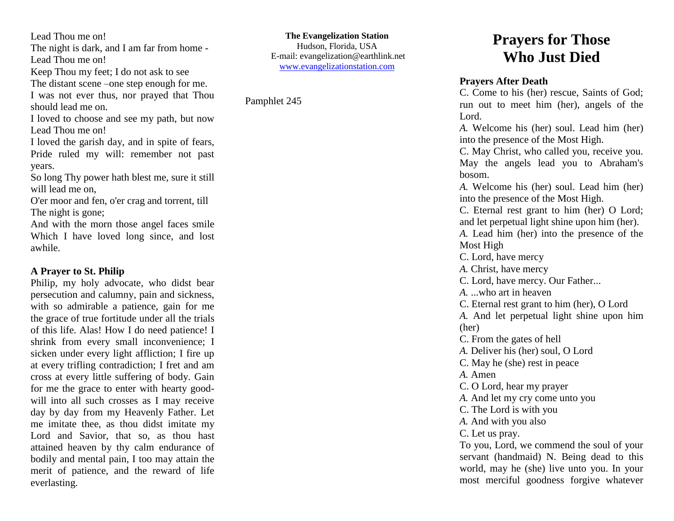Lead Thou me on!

The night is dark, and I am far from home - Lead Thou me on!

Keep Thou my feet; I do not ask to see

The distant scene –one step enough for me. I was not ever thus, nor prayed that Thou

should lead me on.

I loved to choose and see my path, but now Lead Thou me on!

I loved the garish day, and in spite of fears, Pride ruled my will: remember not past years.

So long Thy power hath blest me, sure it still will lead me on,

O'er moor and fen, o'er crag and torrent, till The night is gone;

And with the morn those angel faces smile Which I have loved long since, and lost awhile.

# **A Prayer to St. Philip**

Philip, my holy advocate, who didst bear persecution and calumny, pain and sickness, with so admirable a patience, gain for me the grace of true fortitude under all the trials of this life. Alas! How I do need patience! I shrink from every small inconvenience; I sicken under every light affliction; I fire up at every trifling contradiction; I fret and am cross at every little suffering of body. Gain for me the grace to enter with hearty goodwill into all such crosses as I may receive day by day from my Heavenly Father. Let me imitate thee, as thou didst imitate my Lord and Savior, that so, as thou hast attained heaven by thy calm endurance of bodily and mental pain, I too may attain the merit of patience, and the reward of life everlasting.

**The Evangelization Station** Hudson, Florida, USA E-mail: evangelization@earthlink.net [www.evangelizationstation.com](http://www.pjpiisoe.org/)

Pamphlet 245

# **Prayers for Those Who Just Died**

### **Prayers After Death**

C. Come to his (her) rescue, Saints of God; run out to meet him (her), angels of the Lord.

*A.* Welcome his (her) soul. Lead him (her) into the presence of the Most High.

C. May Christ, who called you, receive you. May the angels lead you to Abraham's bosom.

*A.* Welcome his (her) soul. Lead him (her) into the presence of the Most High.

C. Eternal rest grant to him (her) O Lord; and let perpetual light shine upon him (her).

*A.* Lead him (her) into the presence of the Most High

C. Lord, have mercy *A.* Christ, have mercy

C. Lord, have mercy. Our Father...

*A.* ...who art in heaven

C. Eternal rest grant to him (her), O Lord

*A.* And let perpetual light shine upon him (her)

C. From the gates of hell

*A.* Deliver his (her) soul, O Lord

C. May he (she) rest in peace

*A.* Amen

C. O Lord, hear my prayer

*A.* And let my cry come unto you

C. The Lord is with you

*A.* And with you also

C. Let us pray.

To you, Lord, we commend the soul of your servant (handmaid) N. Being dead to this world, may he (she) live unto you. In your most merciful goodness forgive whatever